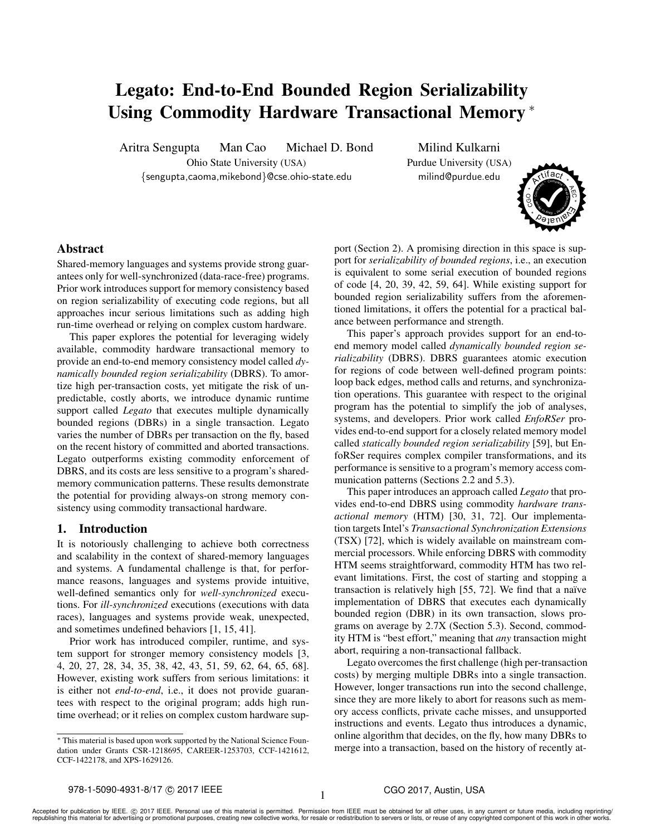# Legato: End-to-End Bounded Region Serializability Using Commodity Hardware Transactional Memory <sup>∗</sup>

Aritra Sengupta Man Cao Michael D. Bond Milind Kulkarni Ohio State University (USA) Purdue University (USA) {sengupta,caoma,mikebond}@cse.ohio-state.edu milind@purdue.edu



# Abstract

Shared-memory languages and systems provide strong guarantees only for well-synchronized (data-race-free) programs. Prior work introduces support for memory consistency based on region serializability of executing code regions, but all approaches incur serious limitations such as adding high run-time overhead or relying on complex custom hardware.

This paper explores the potential for leveraging widely available, commodity hardware transactional memory to provide an end-to-end memory consistency model called *dynamically bounded region serializability* (DBRS). To amortize high per-transaction costs, yet mitigate the risk of unpredictable, costly aborts, we introduce dynamic runtime support called *Legato* that executes multiple dynamically bounded regions (DBRs) in a single transaction. Legato varies the number of DBRs per transaction on the fly, based on the recent history of committed and aborted transactions. Legato outperforms existing commodity enforcement of DBRS, and its costs are less sensitive to a program's sharedmemory communication patterns. These results demonstrate the potential for providing always-on strong memory consistency using commodity transactional hardware.

## 1. Introduction

It is notoriously challenging to achieve both correctness and scalability in the context of shared-memory languages and systems. A fundamental challenge is that, for performance reasons, languages and systems provide intuitive, well-defined semantics only for *well-synchronized* executions. For *ill-synchronized* executions (executions with data races), languages and systems provide weak, unexpected, and sometimes undefined behaviors [1, 15, 41].

Prior work has introduced compiler, runtime, and system support for stronger memory consistency models [3, 4, 20, 27, 28, 34, 35, 38, 42, 43, 51, 59, 62, 64, 65, 68]. However, existing work suffers from serious limitations: it is either not *end-to-end*, i.e., it does not provide guarantees with respect to the original program; adds high runtime overhead; or it relies on complex custom hardware support (Section 2). A promising direction in this space is support for *serializability of bounded regions*, i.e., an execution is equivalent to some serial execution of bounded regions of code [4, 20, 39, 42, 59, 64]. While existing support for bounded region serializability suffers from the aforementioned limitations, it offers the potential for a practical balance between performance and strength.

This paper's approach provides support for an end-toend memory model called *dynamically bounded region serializability* (DBRS). DBRS guarantees atomic execution for regions of code between well-defined program points: loop back edges, method calls and returns, and synchronization operations. This guarantee with respect to the original program has the potential to simplify the job of analyses, systems, and developers. Prior work called *EnfoRSer* provides end-to-end support for a closely related memory model called *statically bounded region serializability* [59], but EnfoRSer requires complex compiler transformations, and its performance is sensitive to a program's memory access communication patterns (Sections 2.2 and 5.3).

This paper introduces an approach called *Legato* that provides end-to-end DBRS using commodity *hardware transactional memory* (HTM) [30, 31, 72]. Our implementation targets Intel's *Transactional Synchronization Extensions* (TSX) [72], which is widely available on mainstream commercial processors. While enforcing DBRS with commodity HTM seems straightforward, commodity HTM has two relevant limitations. First, the cost of starting and stopping a transaction is relatively high  $[55, 72]$ . We find that a naïve implementation of DBRS that executes each dynamically bounded region (DBR) in its own transaction, slows programs on average by 2.7X (Section 5.3). Second, commodity HTM is "best effort," meaning that *any* transaction might abort, requiring a non-transactional fallback.

Legato overcomes the first challenge (high per-transaction costs) by merging multiple DBRs into a single transaction. However, longer transactions run into the second challenge, since they are more likely to abort for reasons such as memory access conflicts, private cache misses, and unsupported instructions and events. Legato thus introduces a dynamic, online algorithm that decides, on the fly, how many DBRs to merge into a transaction, based on the history of recently at-

<sup>∗</sup> This material is based upon work supported by the National Science Foundation under Grants CSR-1218695, CAREER-1253703, CCF-1421612, CCF-1422178, and XPS-1629126.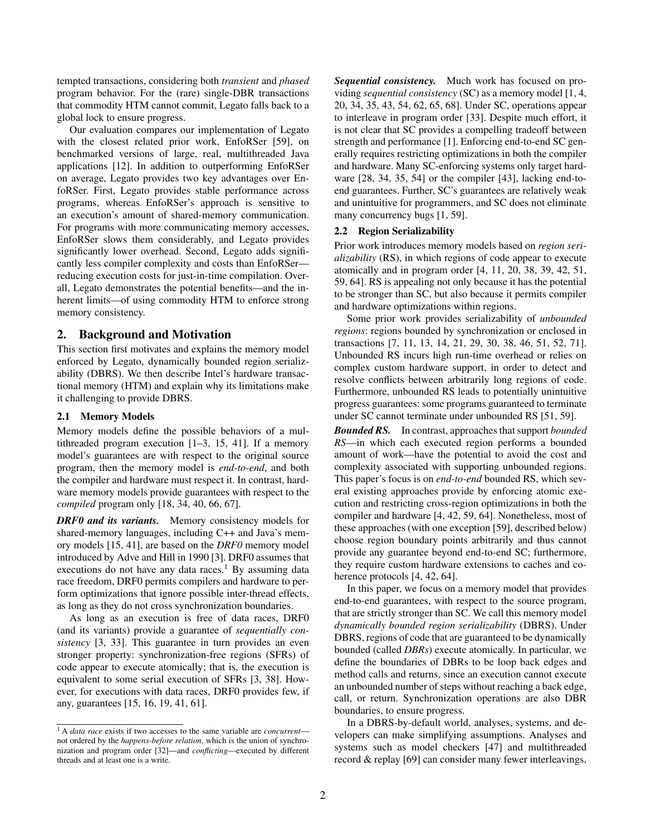tempted transactions, considering both *transient* and *phased* program behavior. For the (rare) single-DBR transactions that commodity HTM cannot commit, Legato falls back to a global lock to ensure progress.

Our evaluation compares our implementation of Legato with the closest related prior work, EnfoRSer [59], on benchmarked versions of large, real, multithreaded Java applications [12]. In addition to outperforming EnfoRSer on average, Legato provides two key advantages over EnfoRSer. First, Legato provides stable performance across programs, whereas EnfoRSer's approach is sensitive to an execution's amount of shared-memory communication. For programs with more communicating memory accesses, EnfoRSer slows them considerably, and Legato provides significantly lower overhead. Second, Legato adds significantly less compiler complexity and costs than EnfoRSer reducing execution costs for just-in-time compilation. Overall, Legato demonstrates the potential benefits—and the inherent limits—of using commodity HTM to enforce strong memory consistency.

## 2. Background and Motivation

This section first motivates and explains the memory model enforced by Legato, dynamically bounded region serializability (DBRS). We then describe Intel's hardware transactional memory (HTM) and explain why its limitations make it challenging to provide DBRS.

## 2.1 Memory Models

Memory models define the possible behaviors of a multithreaded program execution [1–3, 15, 41]. If a memory model's guarantees are with respect to the original source program, then the memory model is *end-to-end*, and both the compiler and hardware must respect it. In contrast, hardware memory models provide guarantees with respect to the *compiled* program only [18, 34, 40, 66, 67].

*DRF0 and its variants.* Memory consistency models for shared-memory languages, including C++ and Java's memory models [15, 41], are based on the *DRF0* memory model introduced by Adve and Hill in 1990 [3]. DRF0 assumes that executions do not have any data races.<sup>1</sup> By assuming data race freedom, DRF0 permits compilers and hardware to perform optimizations that ignore possible inter-thread effects, as long as they do not cross synchronization boundaries.

As long as an execution is free of data races, DRF0 (and its variants) provide a guarantee of *sequentially consistency* [3, 33]. This guarantee in turn provides an even stronger property: synchronization-free regions (SFRs) of code appear to execute atomically; that is, the execution is equivalent to some serial execution of SFRs [3, 38]. However, for executions with data races, DRF0 provides few, if any, guarantees [15, 16, 19, 41, 61].

*Sequential consistency.* Much work has focused on providing *sequential consistency* (SC) as a memory model [1, 4, 20, 34, 35, 43, 54, 62, 65, 68]. Under SC, operations appear to interleave in program order [33]. Despite much effort, it is not clear that SC provides a compelling tradeoff between strength and performance [1]. Enforcing end-to-end SC generally requires restricting optimizations in both the compiler and hardware. Many SC-enforcing systems only target hardware [28, 34, 35, 54] or the compiler [43], lacking end-toend guarantees. Further, SC's guarantees are relatively weak and unintuitive for programmers, and SC does not eliminate many concurrency bugs [1, 59].

#### 2.2 Region Serializability

Prior work introduces memory models based on *region serializability* (RS), in which regions of code appear to execute atomically and in program order [4, 11, 20, 38, 39, 42, 51, 59, 64]. RS is appealing not only because it has the potential to be stronger than SC, but also because it permits compiler and hardware optimizations within regions.

Some prior work provides serializability of *unbounded regions*: regions bounded by synchronization or enclosed in transactions [7, 11, 13, 14, 21, 29, 30, 38, 46, 51, 52, 71]. Unbounded RS incurs high run-time overhead or relies on complex custom hardware support, in order to detect and resolve conflicts between arbitrarily long regions of code. Furthermore, unbounded RS leads to potentially unintuitive progress guarantees: some programs guaranteed to terminate under SC cannot terminate under unbounded RS [51, 59].

*Bounded RS.* In contrast, approaches that support *bounded RS*—in which each executed region performs a bounded amount of work—have the potential to avoid the cost and complexity associated with supporting unbounded regions. This paper's focus is on *end-to-end* bounded RS, which several existing approaches provide by enforcing atomic execution and restricting cross-region optimizations in both the compiler and hardware [4, 42, 59, 64]. Nonetheless, most of these approaches (with one exception [59], described below) choose region boundary points arbitrarily and thus cannot provide any guarantee beyond end-to-end SC; furthermore, they require custom hardware extensions to caches and coherence protocols [4, 42, 64].

In this paper, we focus on a memory model that provides end-to-end guarantees, with respect to the source program, that are strictly stronger than SC. We call this memory model *dynamically bounded region serializability* (DBRS). Under DBRS, regions of code that are guaranteed to be dynamically bounded (called *DBRs*) execute atomically. In particular, we define the boundaries of DBRs to be loop back edges and method calls and returns, since an execution cannot execute an unbounded number of steps without reaching a back edge, call, or return. Synchronization operations are also DBR boundaries, to ensure progress.

In a DBRS-by-default world, analyses, systems, and developers can make simplifying assumptions. Analyses and systems such as model checkers [47] and multithreaded record & replay [69] can consider many fewer interleavings,

<sup>1</sup> A *data race* exists if two accesses to the same variable are *concurrent* not ordered by the *happens-before relation*, which is the union of synchronization and program order [32]—and *conflicting*—executed by different threads and at least one is a write.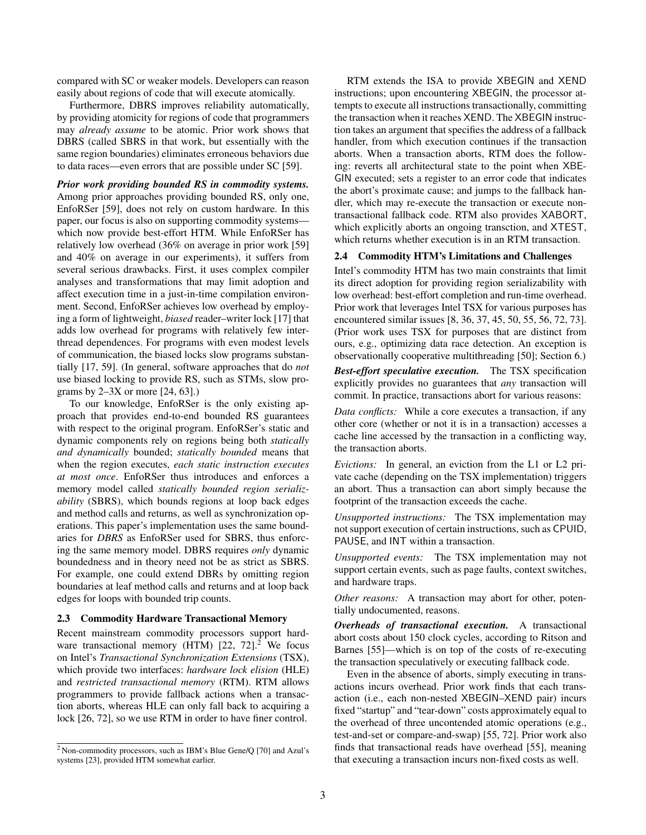compared with SC or weaker models. Developers can reason easily about regions of code that will execute atomically.

Furthermore, DBRS improves reliability automatically, by providing atomicity for regions of code that programmers may *already assume* to be atomic. Prior work shows that DBRS (called SBRS in that work, but essentially with the same region boundaries) eliminates erroneous behaviors due to data races—even errors that are possible under SC [59].

*Prior work providing bounded RS in commodity systems.* Among prior approaches providing bounded RS, only one, EnfoRSer [59], does not rely on custom hardware. In this paper, our focus is also on supporting commodity systems which now provide best-effort HTM. While EnfoRSer has relatively low overhead (36% on average in prior work [59] and 40% on average in our experiments), it suffers from several serious drawbacks. First, it uses complex compiler analyses and transformations that may limit adoption and affect execution time in a just-in-time compilation environment. Second, EnfoRSer achieves low overhead by employing a form of lightweight, *biased* reader–writer lock [17] that adds low overhead for programs with relatively few interthread dependences. For programs with even modest levels of communication, the biased locks slow programs substantially [17, 59]. (In general, software approaches that do *not* use biased locking to provide RS, such as STMs, slow programs by  $2-3X$  or more  $[24, 63]$ .)

To our knowledge, EnfoRSer is the only existing approach that provides end-to-end bounded RS guarantees with respect to the original program. EnfoRSer's static and dynamic components rely on regions being both *statically and dynamically* bounded; *statically bounded* means that when the region executes, *each static instruction executes at most once*. EnfoRSer thus introduces and enforces a memory model called *statically bounded region serializability* (SBRS), which bounds regions at loop back edges and method calls and returns, as well as synchronization operations. This paper's implementation uses the same boundaries for *DBRS* as EnfoRSer used for SBRS, thus enforcing the same memory model. DBRS requires *only* dynamic boundedness and in theory need not be as strict as SBRS. For example, one could extend DBRs by omitting region boundaries at leaf method calls and returns and at loop back edges for loops with bounded trip counts.

#### 2.3 Commodity Hardware Transactional Memory

Recent mainstream commodity processors support hardware transactional memory (HTM)  $[22, 72]$ .<sup>2</sup> We focus on Intel's *Transactional Synchronization Extensions* (TSX), which provide two interfaces: *hardware lock elision* (HLE) and *restricted transactional memory* (RTM). RTM allows programmers to provide fallback actions when a transaction aborts, whereas HLE can only fall back to acquiring a lock [26, 72], so we use RTM in order to have finer control.

RTM extends the ISA to provide XBEGIN and XEND instructions; upon encountering XBEGIN, the processor attempts to execute all instructions transactionally, committing the transaction when it reaches XEND. The XBEGIN instruction takes an argument that specifies the address of a fallback handler, from which execution continues if the transaction aborts. When a transaction aborts, RTM does the following: reverts all architectural state to the point when XBE-GIN executed; sets a register to an error code that indicates the abort's proximate cause; and jumps to the fallback handler, which may re-execute the transaction or execute nontransactional fallback code. RTM also provides XABORT, which explicitly aborts an ongoing transction, and XTEST, which returns whether execution is in an RTM transaction.

#### 2.4 Commodity HTM's Limitations and Challenges

Intel's commodity HTM has two main constraints that limit its direct adoption for providing region serializability with low overhead: best-effort completion and run-time overhead. Prior work that leverages Intel TSX for various purposes has encountered similar issues [8, 36, 37, 45, 50, 55, 56, 72, 73]. (Prior work uses TSX for purposes that are distinct from ours, e.g., optimizing data race detection. An exception is observationally cooperative multithreading [50]; Section 6.)

*Best-effort speculative execution.* The TSX specification explicitly provides no guarantees that *any* transaction will commit. In practice, transactions abort for various reasons:

*Data conflicts:* While a core executes a transaction, if any other core (whether or not it is in a transaction) accesses a cache line accessed by the transaction in a conflicting way, the transaction aborts.

*Evictions:* In general, an eviction from the L1 or L2 private cache (depending on the TSX implementation) triggers an abort. Thus a transaction can abort simply because the footprint of the transaction exceeds the cache.

*Unsupported instructions:* The TSX implementation may not support execution of certain instructions, such as CPUID, PAUSE, and INT within a transaction.

*Unsupported events:* The TSX implementation may not support certain events, such as page faults, context switches, and hardware traps.

*Other reasons:* A transaction may abort for other, potentially undocumented, reasons.

*Overheads of transactional execution.* A transactional abort costs about 150 clock cycles, according to Ritson and Barnes [55]—which is on top of the costs of re-executing the transaction speculatively or executing fallback code.

Even in the absence of aborts, simply executing in transactions incurs overhead. Prior work finds that each transaction (i.e., each non-nested XBEGIN–XEND pair) incurs fixed "startup" and "tear-down" costs approximately equal to the overhead of three uncontended atomic operations (e.g., test-and-set or compare-and-swap) [55, 72]. Prior work also finds that transactional reads have overhead [55], meaning that executing a transaction incurs non-fixed costs as well.

<sup>2</sup> Non-commodity processors, such as IBM's Blue Gene/Q [70] and Azul's systems [23], provided HTM somewhat earlier.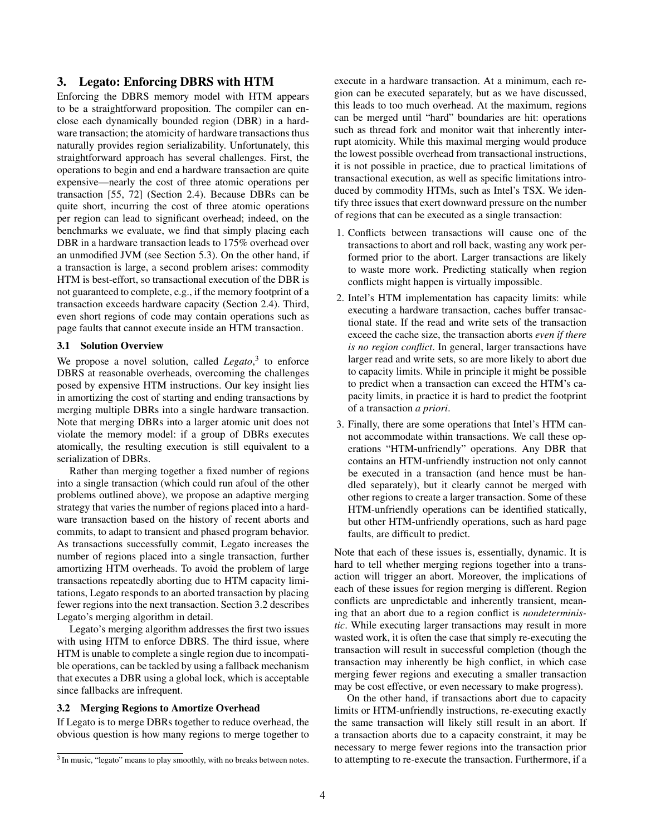# 3. Legato: Enforcing DBRS with HTM

Enforcing the DBRS memory model with HTM appears to be a straightforward proposition. The compiler can enclose each dynamically bounded region (DBR) in a hardware transaction; the atomicity of hardware transactions thus naturally provides region serializability. Unfortunately, this straightforward approach has several challenges. First, the operations to begin and end a hardware transaction are quite expensive—nearly the cost of three atomic operations per transaction [55, 72] (Section 2.4). Because DBRs can be quite short, incurring the cost of three atomic operations per region can lead to significant overhead; indeed, on the benchmarks we evaluate, we find that simply placing each DBR in a hardware transaction leads to 175% overhead over an unmodified JVM (see Section 5.3). On the other hand, if a transaction is large, a second problem arises: commodity HTM is best-effort, so transactional execution of the DBR is not guaranteed to complete, e.g., if the memory footprint of a transaction exceeds hardware capacity (Section 2.4). Third, even short regions of code may contain operations such as page faults that cannot execute inside an HTM transaction.

#### 3.1 Solution Overview

We propose a novel solution, called *Legato*,<sup>3</sup> to enforce DBRS at reasonable overheads, overcoming the challenges posed by expensive HTM instructions. Our key insight lies in amortizing the cost of starting and ending transactions by merging multiple DBRs into a single hardware transaction. Note that merging DBRs into a larger atomic unit does not violate the memory model: if a group of DBRs executes atomically, the resulting execution is still equivalent to a serialization of DBRs.

Rather than merging together a fixed number of regions into a single transaction (which could run afoul of the other problems outlined above), we propose an adaptive merging strategy that varies the number of regions placed into a hardware transaction based on the history of recent aborts and commits, to adapt to transient and phased program behavior. As transactions successfully commit, Legato increases the number of regions placed into a single transaction, further amortizing HTM overheads. To avoid the problem of large transactions repeatedly aborting due to HTM capacity limitations, Legato responds to an aborted transaction by placing fewer regions into the next transaction. Section 3.2 describes Legato's merging algorithm in detail.

Legato's merging algorithm addresses the first two issues with using HTM to enforce DBRS. The third issue, where HTM is unable to complete a single region due to incompatible operations, can be tackled by using a fallback mechanism that executes a DBR using a global lock, which is acceptable since fallbacks are infrequent.

#### 3.2 Merging Regions to Amortize Overhead

If Legato is to merge DBRs together to reduce overhead, the obvious question is how many regions to merge together to execute in a hardware transaction. At a minimum, each region can be executed separately, but as we have discussed, this leads to too much overhead. At the maximum, regions can be merged until "hard" boundaries are hit: operations such as thread fork and monitor wait that inherently interrupt atomicity. While this maximal merging would produce the lowest possible overhead from transactional instructions, it is not possible in practice, due to practical limitations of transactional execution, as well as specific limitations introduced by commodity HTMs, such as Intel's TSX. We identify three issues that exert downward pressure on the number of regions that can be executed as a single transaction:

- 1. Conflicts between transactions will cause one of the transactions to abort and roll back, wasting any work performed prior to the abort. Larger transactions are likely to waste more work. Predicting statically when region conflicts might happen is virtually impossible.
- 2. Intel's HTM implementation has capacity limits: while executing a hardware transaction, caches buffer transactional state. If the read and write sets of the transaction exceed the cache size, the transaction aborts *even if there is no region conflict*. In general, larger transactions have larger read and write sets, so are more likely to abort due to capacity limits. While in principle it might be possible to predict when a transaction can exceed the HTM's capacity limits, in practice it is hard to predict the footprint of a transaction *a priori*.
- 3. Finally, there are some operations that Intel's HTM cannot accommodate within transactions. We call these operations "HTM-unfriendly" operations. Any DBR that contains an HTM-unfriendly instruction not only cannot be executed in a transaction (and hence must be handled separately), but it clearly cannot be merged with other regions to create a larger transaction. Some of these HTM-unfriendly operations can be identified statically, but other HTM-unfriendly operations, such as hard page faults, are difficult to predict.

Note that each of these issues is, essentially, dynamic. It is hard to tell whether merging regions together into a transaction will trigger an abort. Moreover, the implications of each of these issues for region merging is different. Region conflicts are unpredictable and inherently transient, meaning that an abort due to a region conflict is *nondeterministic*. While executing larger transactions may result in more wasted work, it is often the case that simply re-executing the transaction will result in successful completion (though the transaction may inherently be high conflict, in which case merging fewer regions and executing a smaller transaction may be cost effective, or even necessary to make progress).

On the other hand, if transactions abort due to capacity limits or HTM-unfriendly instructions, re-executing exactly the same transaction will likely still result in an abort. If a transaction aborts due to a capacity constraint, it may be necessary to merge fewer regions into the transaction prior to attempting to re-execute the transaction. Furthermore, if a

<sup>&</sup>lt;sup>3</sup> In music, "legato" means to play smoothly, with no breaks between notes.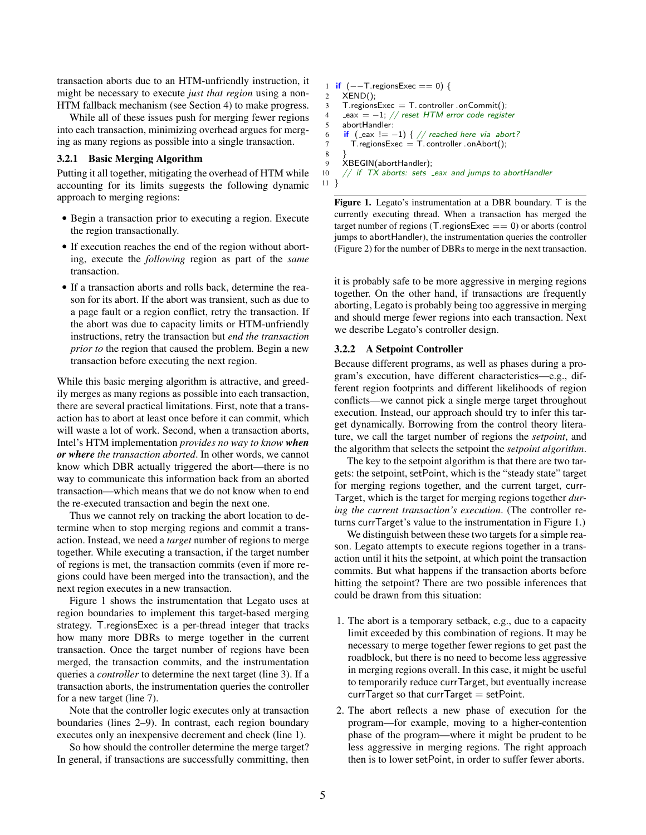transaction aborts due to an HTM-unfriendly instruction, it might be necessary to execute *just that region* using a non-HTM fallback mechanism (see Section 4) to make progress.

While all of these issues push for merging fewer regions into each transaction, minimizing overhead argues for merging as many regions as possible into a single transaction.

## 3.2.1 Basic Merging Algorithm

Putting it all together, mitigating the overhead of HTM while accounting for its limits suggests the following dynamic approach to merging regions:

- Begin a transaction prior to executing a region. Execute the region transactionally.
- If execution reaches the end of the region without aborting, execute the *following* region as part of the *same* transaction.
- If a transaction aborts and rolls back, determine the reason for its abort. If the abort was transient, such as due to a page fault or a region conflict, retry the transaction. If the abort was due to capacity limits or HTM-unfriendly instructions, retry the transaction but *end the transaction prior to* the region that caused the problem. Begin a new transaction before executing the next region.

While this basic merging algorithm is attractive, and greedily merges as many regions as possible into each transaction, there are several practical limitations. First, note that a transaction has to abort at least once before it can commit, which will waste a lot of work. Second, when a transaction aborts, Intel's HTM implementation *provides no way to know when or where the transaction aborted*. In other words, we cannot know which DBR actually triggered the abort—there is no way to communicate this information back from an aborted transaction—which means that we do not know when to end the re-executed transaction and begin the next one.

Thus we cannot rely on tracking the abort location to determine when to stop merging regions and commit a transaction. Instead, we need a *target* number of regions to merge together. While executing a transaction, if the target number of regions is met, the transaction commits (even if more regions could have been merged into the transaction), and the next region executes in a new transaction.

Figure 1 shows the instrumentation that Legato uses at region boundaries to implement this target-based merging strategy. T.regionsExec is a per-thread integer that tracks how many more DBRs to merge together in the current transaction. Once the target number of regions have been merged, the transaction commits, and the instrumentation queries a *controller* to determine the next target (line 3). If a transaction aborts, the instrumentation queries the controller for a new target (line 7).

Note that the controller logic executes only at transaction boundaries (lines 2–9). In contrast, each region boundary executes only an inexpensive decrement and check (line 1).

So how should the controller determine the merge target? In general, if transactions are successfully committing, then

```
1 if (--T).regionsExec == 0) {
2 XEND();
3 T. regionsExec = T. controller . onCommit();
4 = e^{i\theta} = -1; // reset HTM error code register
5 abortHandler:
6 if (\text{eax } != -1) \{ // \text{ reached here via abort?}7 T. regionsExec = T. controller . onAbort();
8 }
9 XBEGIN(abortHandler);<br>10 // if TX aborts: sets
     1/ if TX aborts: sets eax and jumps to abortHandler
11 }
```
Figure 1. Legato's instrumentation at a DBR boundary. T is the currently executing thread. When a transaction has merged the target number of regions (T. regionsExec  $== 0$ ) or aborts (control jumps to abortHandler), the instrumentation queries the controller (Figure 2) for the number of DBRs to merge in the next transaction.

it is probably safe to be more aggressive in merging regions together. On the other hand, if transactions are frequently aborting, Legato is probably being too aggressive in merging and should merge fewer regions into each transaction. Next we describe Legato's controller design.

#### 3.2.2 A Setpoint Controller

Because different programs, as well as phases during a program's execution, have different characteristics—e.g., different region footprints and different likelihoods of region conflicts—we cannot pick a single merge target throughout execution. Instead, our approach should try to infer this target dynamically. Borrowing from the control theory literature, we call the target number of regions the *setpoint*, and the algorithm that selects the setpoint the *setpoint algorithm*.

The key to the setpoint algorithm is that there are two targets: the setpoint, setPoint, which is the "steady state" target for merging regions together, and the current target, curr-Target, which is the target for merging regions together *during the current transaction's execution*. (The controller returns currTarget's value to the instrumentation in Figure 1.)

We distinguish between these two targets for a simple reason. Legato attempts to execute regions together in a transaction until it hits the setpoint, at which point the transaction commits. But what happens if the transaction aborts before hitting the setpoint? There are two possible inferences that could be drawn from this situation:

- 1. The abort is a temporary setback, e.g., due to a capacity limit exceeded by this combination of regions. It may be necessary to merge together fewer regions to get past the roadblock, but there is no need to become less aggressive in merging regions overall. In this case, it might be useful to temporarily reduce currTarget, but eventually increase  $currTarget$  so that currTarget = setPoint.
- 2. The abort reflects a new phase of execution for the program—for example, moving to a higher-contention phase of the program—where it might be prudent to be less aggressive in merging regions. The right approach then is to lower setPoint, in order to suffer fewer aborts.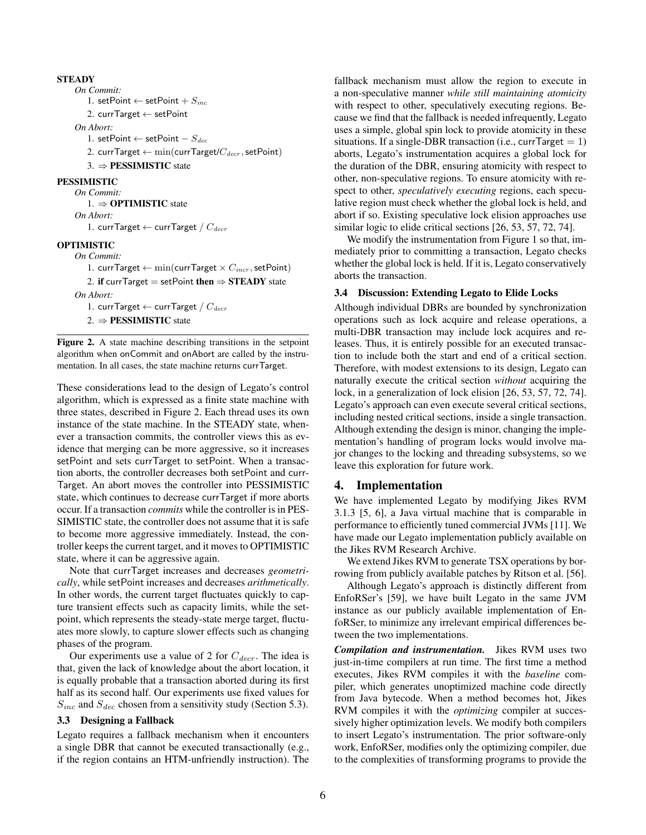## **STEADY**

*On Commit:* 1. setPoint ← setPoint +  $S_{inc}$ 2. currTarget ← setPoint *On Abort:* 1. setPoint ← setPoint  $-S_{dec}$ 2. currTarget  $\leftarrow$  min(currTarget/ $C_{decr}$ , setPoint) 3. ⇒ PESSIMISTIC state PESSIMISTIC *On Commit:* 1. ⇒ OPTIMISTIC state *On Abort:* 1. currTarget  $\leftarrow$  currTarget /  $C_{decr}$ OPTIMISTIC *On Commit:* 1. currTarget  $\leftarrow$  min(currTarget  $\times$   $C_{incr}$ , setPoint) 2. if currTarget = setPoint then  $\Rightarrow$  STEADY state *On Abort:* 1. currTarget  $\leftarrow$  currTarget /  $C_{decr}$ 

2.  $\Rightarrow$  **PESSIMISTIC** state

Figure 2. A state machine describing transitions in the setpoint algorithm when onCommit and onAbort are called by the instrumentation. In all cases, the state machine returns currTarget.

These considerations lead to the design of Legato's control algorithm, which is expressed as a finite state machine with three states, described in Figure 2. Each thread uses its own instance of the state machine. In the STEADY state, whenever a transaction commits, the controller views this as evidence that merging can be more aggressive, so it increases setPoint and sets currTarget to setPoint. When a transaction aborts, the controller decreases both setPoint and curr-Target. An abort moves the controller into PESSIMISTIC state, which continues to decrease currTarget if more aborts occur. If a transaction *commits* while the controller is in PES-SIMISTIC state, the controller does not assume that it is safe to become more aggressive immediately. Instead, the controller keeps the current target, and it moves to OPTIMISTIC state, where it can be aggressive again.

Note that currTarget increases and decreases *geometrically*, while setPoint increases and decreases *arithmetically*. In other words, the current target fluctuates quickly to capture transient effects such as capacity limits, while the setpoint, which represents the steady-state merge target, fluctuates more slowly, to capture slower effects such as changing phases of the program.

Our experiments use a value of 2 for  $C_{decr}$ . The idea is that, given the lack of knowledge about the abort location, it is equally probable that a transaction aborted during its first half as its second half. Our experiments use fixed values for  $S_{inc}$  and  $S_{dec}$  chosen from a sensitivity study (Section 5.3).

#### 3.3 Designing a Fallback

Legato requires a fallback mechanism when it encounters a single DBR that cannot be executed transactionally (e.g., if the region contains an HTM-unfriendly instruction). The fallback mechanism must allow the region to execute in a non-speculative manner *while still maintaining atomicity* with respect to other, speculatively executing regions. Because we find that the fallback is needed infrequently, Legato uses a simple, global spin lock to provide atomicity in these situations. If a single-DBR transaction (i.e., currTarget  $= 1$ ) aborts, Legato's instrumentation acquires a global lock for the duration of the DBR, ensuring atomicity with respect to other, non-speculative regions. To ensure atomicity with respect to other, *speculatively executing* regions, each speculative region must check whether the global lock is held, and abort if so. Existing speculative lock elision approaches use similar logic to elide critical sections [26, 53, 57, 72, 74].

We modify the instrumentation from Figure 1 so that, immediately prior to committing a transaction, Legato checks whether the global lock is held. If it is, Legato conservatively aborts the transaction.

## 3.4 Discussion: Extending Legato to Elide Locks

Although individual DBRs are bounded by synchronization operations such as lock acquire and release operations, a multi-DBR transaction may include lock acquires and releases. Thus, it is entirely possible for an executed transaction to include both the start and end of a critical section. Therefore, with modest extensions to its design, Legato can naturally execute the critical section *without* acquiring the lock, in a generalization of lock elision [26, 53, 57, 72, 74]. Legato's approach can even execute several critical sections, including nested critical sections, inside a single transaction. Although extending the design is minor, changing the implementation's handling of program locks would involve major changes to the locking and threading subsystems, so we leave this exploration for future work.

## 4. Implementation

We have implemented Legato by modifying Jikes RVM 3.1.3 [5, 6], a Java virtual machine that is comparable in performance to efficiently tuned commercial JVMs [11]. We have made our Legato implementation publicly available on the Jikes RVM Research Archive.

We extend Jikes RVM to generate TSX operations by borrowing from publicly available patches by Ritson et al. [56].

Although Legato's approach is distinctly different from EnfoRSer's [59], we have built Legato in the same JVM instance as our publicly available implementation of EnfoRSer, to minimize any irrelevant empirical differences between the two implementations.

*Compilation and instrumentation.* Jikes RVM uses two just-in-time compilers at run time. The first time a method executes, Jikes RVM compiles it with the *baseline* compiler, which generates unoptimized machine code directly from Java bytecode. When a method becomes hot, Jikes RVM compiles it with the *optimizing* compiler at successively higher optimization levels. We modify both compilers to insert Legato's instrumentation. The prior software-only work, EnfoRSer, modifies only the optimizing compiler, due to the complexities of transforming programs to provide the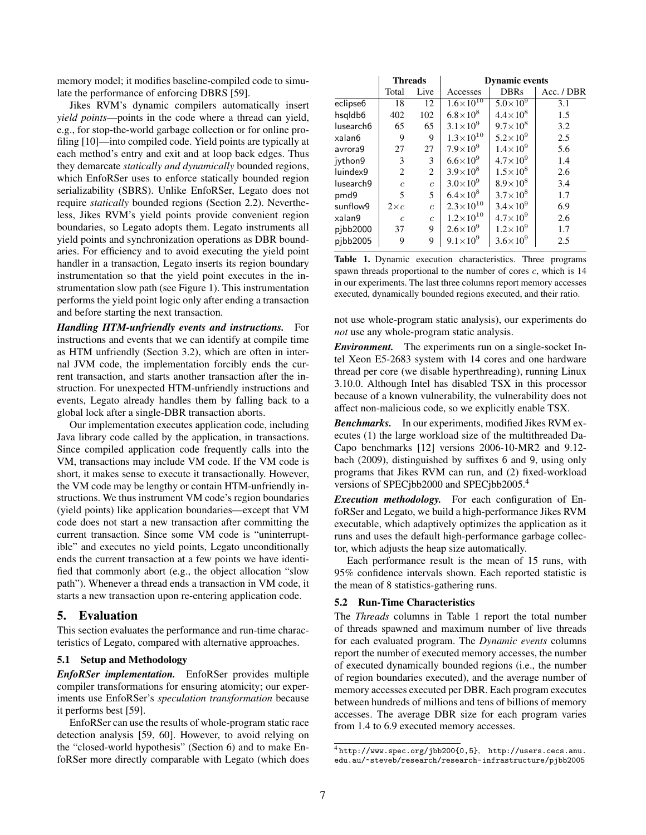memory model; it modifies baseline-compiled code to simulate the performance of enforcing DBRS [59].

Jikes RVM's dynamic compilers automatically insert *yield points*—points in the code where a thread can yield, e.g., for stop-the-world garbage collection or for online profiling [10]—into compiled code. Yield points are typically at each method's entry and exit and at loop back edges. Thus they demarcate *statically and dynamically* bounded regions, which EnfoRSer uses to enforce statically bounded region serializability (SBRS). Unlike EnfoRSer, Legato does not require *statically* bounded regions (Section 2.2). Nevertheless, Jikes RVM's yield points provide convenient region boundaries, so Legato adopts them. Legato instruments all yield points and synchronization operations as DBR boundaries. For efficiency and to avoid executing the yield point handler in a transaction, Legato inserts its region boundary instrumentation so that the yield point executes in the instrumentation slow path (see Figure 1). This instrumentation performs the yield point logic only after ending a transaction and before starting the next transaction.

*Handling HTM-unfriendly events and instructions.* For instructions and events that we can identify at compile time as HTM unfriendly (Section 3.2), which are often in internal JVM code, the implementation forcibly ends the current transaction, and starts another transaction after the instruction. For unexpected HTM-unfriendly instructions and events, Legato already handles them by falling back to a global lock after a single-DBR transaction aborts.

Our implementation executes application code, including Java library code called by the application, in transactions. Since compiled application code frequently calls into the VM, transactions may include VM code. If the VM code is short, it makes sense to execute it transactionally. However, the VM code may be lengthy or contain HTM-unfriendly instructions. We thus instrument VM code's region boundaries (yield points) like application boundaries—except that VM code does not start a new transaction after committing the current transaction. Since some VM code is "uninterruptible" and executes no yield points, Legato unconditionally ends the current transaction at a few points we have identified that commonly abort (e.g., the object allocation "slow path"). Whenever a thread ends a transaction in VM code, it starts a new transaction upon re-entering application code.

# 5. Evaluation

This section evaluates the performance and run-time characteristics of Legato, compared with alternative approaches.

### 5.1 Setup and Methodology

*EnfoRSer implementation.* EnfoRSer provides multiple compiler transformations for ensuring atomicity; our experiments use EnfoRSer's *speculation transformation* because it performs best [59].

EnfoRSer can use the results of whole-program static race detection analysis [59, 60]. However, to avoid relying on the "closed-world hypothesis" (Section 6) and to make EnfoRSer more directly comparable with Legato (which does

|                      | <b>Threads</b> |                | <b>Dynamic events</b> |                     |            |  |  |  |
|----------------------|----------------|----------------|-----------------------|---------------------|------------|--|--|--|
|                      | Live<br>Total  |                | Accesses              | <b>DBRs</b>         | Acc. / DBR |  |  |  |
| eclipse <sub>6</sub> | 18             | 12             | $1.6 \times 10^{10}$  | $5.0\times10^{9}$   | 3.1        |  |  |  |
| hsqldb6              | 402            | 102            | $6.8 \times 10^{8}$   | $4.4 \times 10^{8}$ | 1.5        |  |  |  |
| lusearch6            | 65             | 65             | $3.1 \times 10^{9}$   | $9.7 \times 10^8$   | 3.2        |  |  |  |
| xalan6               | 9              | 9              | $1.3 \times 10^{10}$  | $5.2 \times 10^{9}$ | 2.5        |  |  |  |
| avrora9              | 27             | 27             | $7.9\times10^{9}$     | $1.4 \times 10^{9}$ | 5.6        |  |  |  |
| jython9              | 3              | 3              | $6.6 \times 10^{9}$   | $4.7 \times 10^{9}$ | 1.4        |  |  |  |
| luindex9             | 2              | 2              | $3.9 \times 10^{8}$   | $1.5 \times 10^{8}$ | 2.6        |  |  |  |
| lusearch9            | $\epsilon$     | $\overline{c}$ | $3.0 \times 10^{9}$   | $8.9\times10^{8}$   | 3.4        |  |  |  |
| pmd9                 | 5              | 5              | $6.4 \times 10^{8}$   | $3.7 \times 10^{8}$ | 1.7        |  |  |  |
| sunflow9             | $2\times c$    | $\mathfrak{c}$ | $2.3 \times 10^{10}$  | $3.4 \times 10^{9}$ | 6.9        |  |  |  |
| xalan9               | $\mathfrak c$  | $\epsilon$     | $1.2 \times 10^{10}$  | $4.7 \times 10^{9}$ | 2.6        |  |  |  |
| pjbb2000             | 37             | 9              | $2.6 \times 10^{9}$   | $1.2 \times 10^{9}$ | 1.7        |  |  |  |
| pibb2005             | 9              | 9              | $9.1 \times 10^{9}$   | $3.6 \times 10^{9}$ | 2.5        |  |  |  |

Table 1. Dynamic execution characteristics. Three programs spawn threads proportional to the number of cores  $c$ , which is  $14$ in our experiments. The last three columns report memory accesses executed, dynamically bounded regions executed, and their ratio.

not use whole-program static analysis), our experiments do *not* use any whole-program static analysis.

*Environment.* The experiments run on a single-socket Intel Xeon E5-2683 system with 14 cores and one hardware thread per core (we disable hyperthreading), running Linux 3.10.0. Although Intel has disabled TSX in this processor because of a known vulnerability, the vulnerability does not affect non-malicious code, so we explicitly enable TSX.

*Benchmarks.* In our experiments, modified Jikes RVM executes (1) the large workload size of the multithreaded Da-Capo benchmarks [12] versions 2006-10-MR2 and 9.12 bach (2009), distinguished by suffixes 6 and 9, using only programs that Jikes RVM can run, and (2) fixed-workload versions of SPECjbb2000 and SPECjbb2005.<sup>4</sup>

*Execution methodology.* For each configuration of EnfoRSer and Legato, we build a high-performance Jikes RVM executable, which adaptively optimizes the application as it runs and uses the default high-performance garbage collector, which adjusts the heap size automatically.

Each performance result is the mean of 15 runs, with 95% confidence intervals shown. Each reported statistic is the mean of 8 statistics-gathering runs.

#### 5.2 Run-Time Characteristics

The *Threads* columns in Table 1 report the total number of threads spawned and maximum number of live threads for each evaluated program. The *Dynamic events* columns report the number of executed memory accesses, the number of executed dynamically bounded regions (i.e., the number of region boundaries executed), and the average number of memory accesses executed per DBR. Each program executes between hundreds of millions and tens of billions of memory accesses. The average DBR size for each program varies from 1.4 to 6.9 executed memory accesses.

<sup>4</sup> http://www.spec.org/jbb200{0,5}, http://users.cecs.anu. edu.au/~steveb/research/research-infrastructure/pjbb2005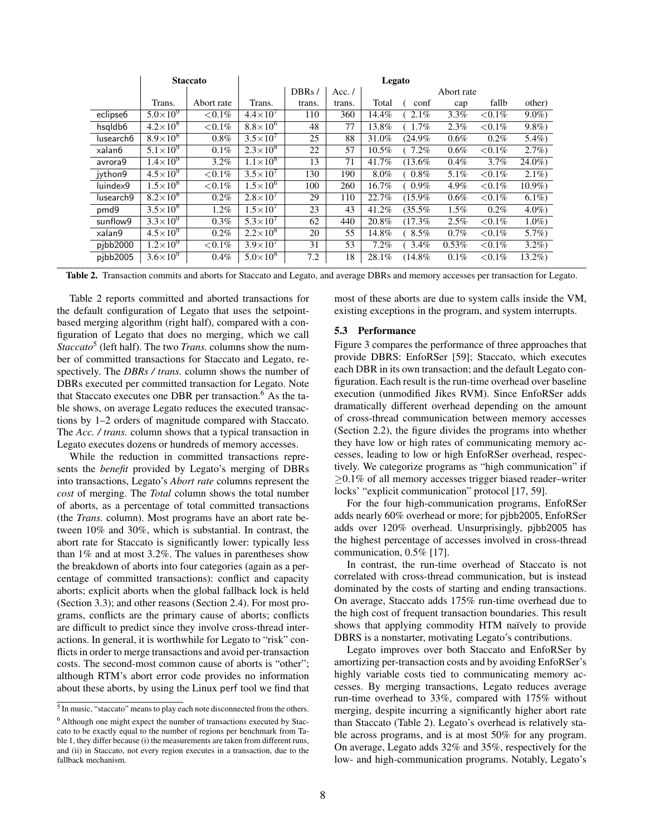|                          | <b>Staccato</b>            |            | Legato              |        |          |            |           |         |            |          |
|--------------------------|----------------------------|------------|---------------------|--------|----------|------------|-----------|---------|------------|----------|
|                          |                            |            |                     | DBRs/  | Acc. $/$ | Abort rate |           |         |            |          |
|                          | Trans.                     | Abort rate | Trans.              | trans. | trans.   | Total      | conf      | cap     | fallb      | other)   |
| eclipse <sub>6</sub>     | $5.0\times10^{9}$          | ${<}0.1\%$ | $4.4\times10^{7}$   | 110    | 360      | 14.4%      | 2.1%      | 3.3%    | ${<}0.1\%$ | $9.0\%$  |
| $hsq$ ldb $\overline{6}$ | $4.2 \times 10^{8}$        | ${<}0.1\%$ | $8.8\times10^{6}$   | 48     | 77       | 13.8%      | $1.7\%$   | 2.3%    | ${<}0.1\%$ | $9.8\%)$ |
| lusearch6                | $8.9\times10^{8}$          | $0.8\%$    | $3.5\times10^{7}$   | 25     | 88       | 31.0%      | (24.9%    | $0.6\%$ | $0.2\%$    | $5.4\%)$ |
| xalan6                   | $5.1\times\overline{10^9}$ | 0.1%       | $2.3\times10^{8}$   | 22     | 57       | $10.5\%$   | $7.2\%$   | $0.6\%$ | ${<}0.1\%$ | $2.7\%$  |
| avrora9                  | $1.4\times10^{9}$          | $3.2\%$    | $1.1\times10^8$     | 13     | 71       | 41.7%      | $(13.6\%$ | $0.4\%$ | 3.7%       | $24.0\%$ |
| jython9                  | $4.5 \times 10^{9}$        | ${<}0.1\%$ | $3.5\times10^{7}$   | 130    | 190      | $8.0\%$    | $(0.8\%$  | $5.1\%$ | ${<}0.1\%$ | $2.1\%$  |
| luindex9                 | $1.5\times10^{8}$          | ${<}0.1\%$ | $1.5\times10^{6}$   | 100    | 260      | $16.7\%$   | $(0.9\%$  | 4.9%    | ${<}0.1\%$ | $10.9\%$ |
| lusearch9                | $8.2\times10^8$            | $0.2\%$    | $2.8\times10^{7}$   | 29     | 110      | 22.7%      | (15.9%    | $0.6\%$ | ${<}0.1\%$ | $6.1\%$  |
| pmd9                     | $3.5 \times 10^8$          | 1.2%       | $1.5 \times 10^{7}$ | 23     | 43       | 41.2%      | (35.5%    | $1.5\%$ | $0.2\%$    | $4.0\%$  |
| sunflow9                 | $3.3\times10^{9}$          | $0.3\%$    | $5.3 \times 10^{7}$ | 62     | 440      | 20.8%      | $(17.3\%$ | 2.5%    | ${<}0.1\%$ | $1.0\%)$ |
| xalan9                   | $4.5 \times 10^{9}$        | $0.2\%$    | $2.2\times10^{8}$   | 20     | 55       | 14.8%      | $(8.5\%$  | 0.7%    | ${<}0.1\%$ | $5.7\%)$ |
| pibb2000                 | $1.2\times10^9$            | ${<}0.1\%$ | $3.9\times10^{7}$   | 31     | 53       | 7.2%       | $3.4\%$   | 0.53%   | ${<}0.1\%$ | $3.2\%)$ |
| pibb2005                 | $3.6 \times 10^{9}$        | 0.4%       | $5.0\times10^{8}$   | 7.2    | 18       | 28.1%      | (14.8%    | 0.1%    | ${<}0.1\%$ | $13.2\%$ |

Table 2. Transaction commits and aborts for Staccato and Legato, and average DBRs and memory accesses per transaction for Legato.

Table 2 reports committed and aborted transactions for the default configuration of Legato that uses the setpointbased merging algorithm (right half), compared with a configuration of Legato that does no merging, which we call Staccato<sup>5</sup> (left half). The two *Trans*. columns show the number of committed transactions for Staccato and Legato, respectively. The *DBRs / trans.* column shows the number of DBRs executed per committed transaction for Legato. Note that Staccato executes one DBR per transaction.<sup>6</sup> As the table shows, on average Legato reduces the executed transactions by 1–2 orders of magnitude compared with Staccato. The *Acc. / trans.* column shows that a typical transaction in Legato executes dozens or hundreds of memory accesses.

While the reduction in committed transactions represents the *benefit* provided by Legato's merging of DBRs into transactions, Legato's *Abort rate* columns represent the *cost* of merging. The *Total* column shows the total number of aborts, as a percentage of total committed transactions (the *Trans.* column). Most programs have an abort rate between 10% and 30%, which is substantial. In contrast, the abort rate for Staccato is significantly lower: typically less than 1% and at most 3.2%. The values in parentheses show the breakdown of aborts into four categories (again as a percentage of committed transactions): conflict and capacity aborts; explicit aborts when the global fallback lock is held (Section 3.3); and other reasons (Section 2.4). For most programs, conflicts are the primary cause of aborts; conflicts are difficult to predict since they involve cross-thread interactions. In general, it is worthwhile for Legato to "risk" conflicts in order to merge transactions and avoid per-transaction costs. The second-most common cause of aborts is "other"; although RTM's abort error code provides no information about these aborts, by using the Linux perf tool we find that most of these aborts are due to system calls inside the VM, existing exceptions in the program, and system interrupts.

## 5.3 Performance

Figure 3 compares the performance of three approaches that provide DBRS: EnfoRSer [59]; Staccato, which executes each DBR in its own transaction; and the default Legato configuration. Each result is the run-time overhead over baseline execution (unmodified Jikes RVM). Since EnfoRSer adds dramatically different overhead depending on the amount of cross-thread communication between memory accesses (Section 2.2), the figure divides the programs into whether they have low or high rates of communicating memory accesses, leading to low or high EnfoRSer overhead, respectively. We categorize programs as "high communication" if  $\geq$ 0.1% of all memory accesses trigger biased reader–writer locks' "explicit communication" protocol [17, 59].

For the four high-communication programs, EnfoRSer adds nearly 60% overhead or more; for pjbb2005, EnfoRSer adds over 120% overhead. Unsurprisingly, pjbb2005 has the highest percentage of accesses involved in cross-thread communication, 0.5% [17].

In contrast, the run-time overhead of Staccato is not correlated with cross-thread communication, but is instead dominated by the costs of starting and ending transactions. On average, Staccato adds 175% run-time overhead due to the high cost of frequent transaction boundaries. This result shows that applying commodity HTM naïvely to provide DBRS is a nonstarter, motivating Legato's contributions.

Legato improves over both Staccato and EnfoRSer by amortizing per-transaction costs and by avoiding EnfoRSer's highly variable costs tied to communicating memory accesses. By merging transactions, Legato reduces average run-time overhead to 33%, compared with 175% without merging, despite incurring a significantly higher abort rate than Staccato (Table 2). Legato's overhead is relatively stable across programs, and is at most 50% for any program. On average, Legato adds 32% and 35%, respectively for the low- and high-communication programs. Notably, Legato's

<sup>&</sup>lt;sup>5</sup> In music, "staccato" means to play each note disconnected from the others. <sup>6</sup> Although one might expect the number of transactions executed by Staccato to be exactly equal to the number of regions per benchmark from Table 1, they differ because (i) the measurements are taken from different runs, and (ii) in Staccato, not every region executes in a transaction, due to the fallback mechanism.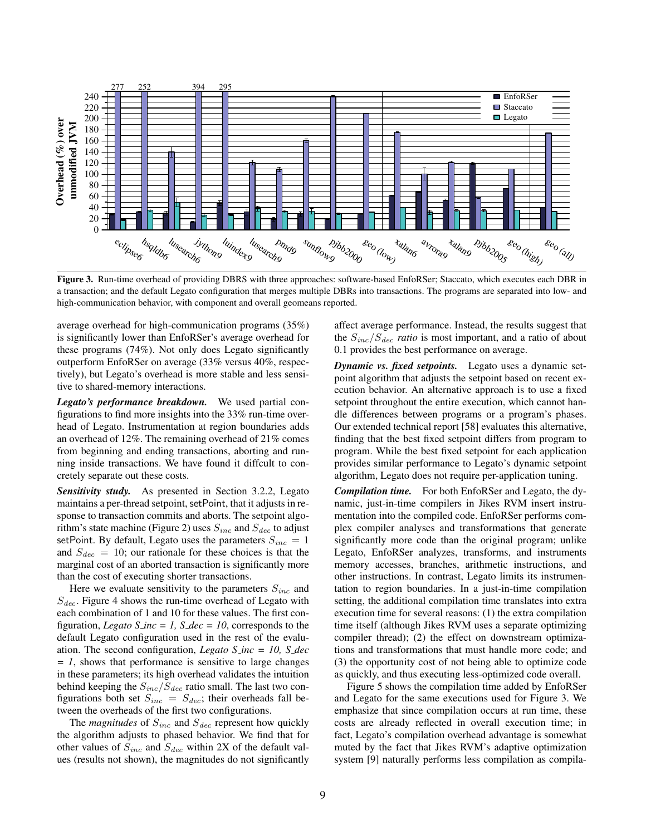

Figure 3. Run-time overhead of providing DBRS with three approaches: software-based EnfoRSer; Staccato, which executes each DBR in a transaction; and the default Legato configuration that merges multiple DBRs into transactions. The programs are separated into low- and high-communication behavior, with component and overall geomeans reported.

average overhead for high-communication programs (35%) is significantly lower than EnfoRSer's average overhead for these programs (74%). Not only does Legato significantly outperform EnfoRSer on average (33% versus 40%, respectively), but Legato's overhead is more stable and less sensitive to shared-memory interactions.

*Legato's performance breakdown.* We used partial configurations to find more insights into the 33% run-time overhead of Legato. Instrumentation at region boundaries adds an overhead of 12%. The remaining overhead of 21% comes from beginning and ending transactions, aborting and running inside transactions. We have found it diffcult to concretely separate out these costs.

*Sensitivity study.* As presented in Section 3.2.2, Legato maintains a per-thread setpoint, setPoint, that it adjusts in response to transaction commits and aborts. The setpoint algorithm's state machine (Figure 2) uses  $S_{inc}$  and  $S_{dec}$  to adjust setPoint. By default, Legato uses the parameters  $S_{inc} = 1$ and  $S_{dec} = 10$ ; our rationale for these choices is that the marginal cost of an aborted transaction is significantly more than the cost of executing shorter transactions.

Here we evaluate sensitivity to the parameters  $S_{inc}$  and  $S_{dec}$ . Figure 4 shows the run-time overhead of Legato with each combination of 1 and 10 for these values. The first configuration, *Legato S\_inc = 1, S\_dec = 10,* corresponds to the default Legato configuration used in the rest of the evaluation. The second configuration, *Legato S inc = 10, S dec = 1*, shows that performance is sensitive to large changes in these parameters; its high overhead validates the intuition behind keeping the  $S_{inc}/S_{dec}$  ratio small. The last two configurations both set  $S_{inc} = S_{dec}$ ; their overheads fall between the overheads of the first two configurations.

The *magnitudes* of  $S_{inc}$  and  $S_{dec}$  represent how quickly the algorithm adjusts to phased behavior. We find that for other values of  $S_{inc}$  and  $S_{dec}$  within 2X of the default values (results not shown), the magnitudes do not significantly

affect average performance. Instead, the results suggest that the  $S_{inc}/S_{dec}$  *ratio* is most important, and a ratio of about 0.1 provides the best performance on average.

*Dynamic vs. fixed setpoints.* Legato uses a dynamic setpoint algorithm that adjusts the setpoint based on recent execution behavior. An alternative approach is to use a fixed setpoint throughout the entire execution, which cannot handle differences between programs or a program's phases. Our extended technical report [58] evaluates this alternative, finding that the best fixed setpoint differs from program to program. While the best fixed setpoint for each application provides similar performance to Legato's dynamic setpoint algorithm, Legato does not require per-application tuning.

*Compilation time.* For both EnfoRSer and Legato, the dynamic, just-in-time compilers in Jikes RVM insert instrumentation into the compiled code. EnfoRSer performs complex compiler analyses and transformations that generate significantly more code than the original program; unlike Legato, EnfoRSer analyzes, transforms, and instruments memory accesses, branches, arithmetic instructions, and other instructions. In contrast, Legato limits its instrumentation to region boundaries. In a just-in-time compilation setting, the additional compilation time translates into extra execution time for several reasons: (1) the extra compilation time itself (although Jikes RVM uses a separate optimizing compiler thread); (2) the effect on downstream optimizations and transformations that must handle more code; and (3) the opportunity cost of not being able to optimize code as quickly, and thus executing less-optimized code overall.

Figure 5 shows the compilation time added by EnfoRSer and Legato for the same executions used for Figure 3. We emphasize that since compilation occurs at run time, these costs are already reflected in overall execution time; in fact, Legato's compilation overhead advantage is somewhat muted by the fact that Jikes RVM's adaptive optimization system [9] naturally performs less compilation as compila-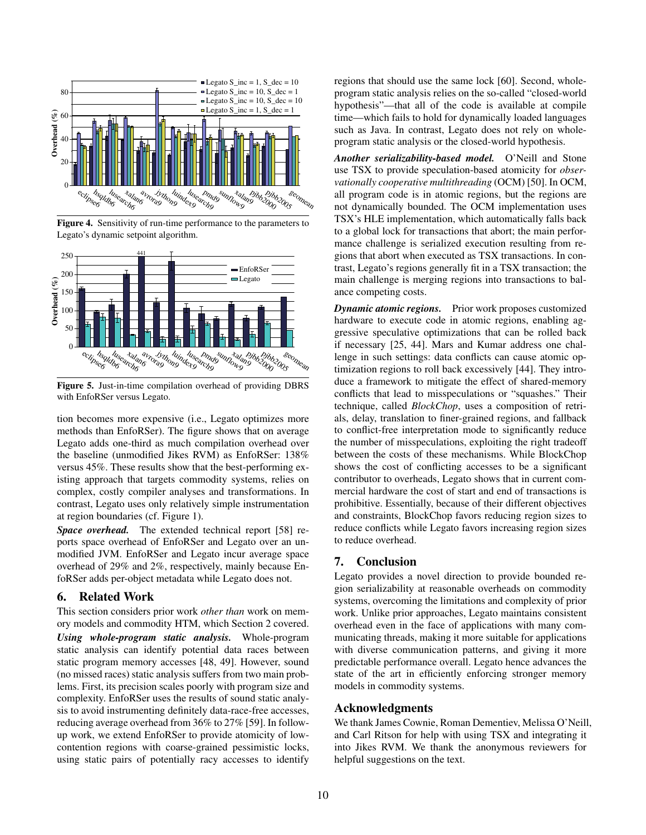

Figure 4. Sensitivity of run-time performance to the parameters to Legato's dynamic setpoint algorithm.



Figure 5. Just-in-time compilation overhead of providing DBRS with EnfoRSer versus Legato.

tion becomes more expensive (i.e., Legato optimizes more methods than EnfoRSer). The figure shows that on average Legato adds one-third as much compilation overhead over the baseline (unmodified Jikes RVM) as EnfoRSer: 138% versus 45%. These results show that the best-performing existing approach that targets commodity systems, relies on complex, costly compiler analyses and transformations. In contrast, Legato uses only relatively simple instrumentation at region boundaries (cf. Figure 1).

*Space overhead.* The extended technical report [58] reports space overhead of EnfoRSer and Legato over an unmodified JVM. EnfoRSer and Legato incur average space overhead of 29% and 2%, respectively, mainly because EnfoRSer adds per-object metadata while Legato does not.

# 6. Related Work

This section considers prior work *other than* work on memory models and commodity HTM, which Section 2 covered. *Using whole-program static analysis.* Whole-program static analysis can identify potential data races between static program memory accesses [48, 49]. However, sound (no missed races) static analysis suffers from two main problems. First, its precision scales poorly with program size and complexity. EnfoRSer uses the results of sound static analysis to avoid instrumenting definitely data-race-free accesses, reducing average overhead from 36% to 27% [59]. In followup work, we extend EnfoRSer to provide atomicity of lowcontention regions with coarse-grained pessimistic locks, using static pairs of potentially racy accesses to identify regions that should use the same lock [60]. Second, wholeprogram static analysis relies on the so-called "closed-world hypothesis"—that all of the code is available at compile time—which fails to hold for dynamically loaded languages such as Java. In contrast, Legato does not rely on wholeprogram static analysis or the closed-world hypothesis.

*Another serializability-based model.* O'Neill and Stone use TSX to provide speculation-based atomicity for *observationally cooperative multithreading* (OCM) [50]. In OCM, all program code is in atomic regions, but the regions are not dynamically bounded. The OCM implementation uses TSX's HLE implementation, which automatically falls back to a global lock for transactions that abort; the main performance challenge is serialized execution resulting from regions that abort when executed as TSX transactions. In contrast, Legato's regions generally fit in a TSX transaction; the main challenge is merging regions into transactions to balance competing costs.

*Dynamic atomic regions.* Prior work proposes customized hardware to execute code in atomic regions, enabling aggressive speculative optimizations that can be rolled back if necessary [25, 44]. Mars and Kumar address one challenge in such settings: data conflicts can cause atomic optimization regions to roll back excessively [44]. They introduce a framework to mitigate the effect of shared-memory conflicts that lead to misspeculations or "squashes." Their technique, called *BlockChop*, uses a composition of retrials, delay, translation to finer-grained regions, and fallback to conflict-free interpretation mode to significantly reduce the number of misspeculations, exploiting the right tradeoff between the costs of these mechanisms. While BlockChop shows the cost of conflicting accesses to be a significant contributor to overheads, Legato shows that in current commercial hardware the cost of start and end of transactions is prohibitive. Essentially, because of their different objectives and constraints, BlockChop favors reducing region sizes to reduce conflicts while Legato favors increasing region sizes to reduce overhead.

## 7. Conclusion

Legato provides a novel direction to provide bounded region serializability at reasonable overheads on commodity systems, overcoming the limitations and complexity of prior work. Unlike prior approaches, Legato maintains consistent overhead even in the face of applications with many communicating threads, making it more suitable for applications with diverse communication patterns, and giving it more predictable performance overall. Legato hence advances the state of the art in efficiently enforcing stronger memory models in commodity systems.

# Acknowledgments

We thank James Cownie, Roman Dementiev, Melissa O'Neill, and Carl Ritson for help with using TSX and integrating it into Jikes RVM. We thank the anonymous reviewers for helpful suggestions on the text.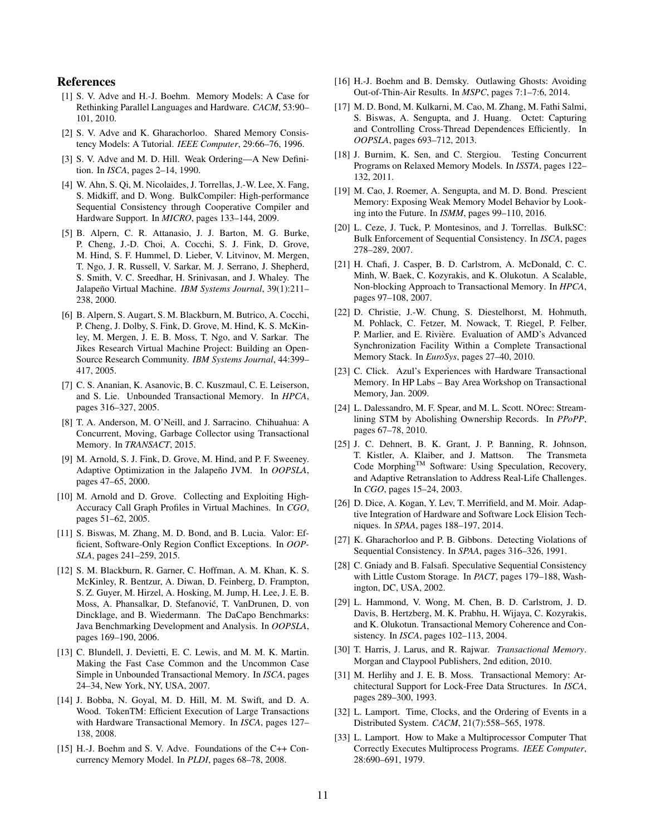### References

- [1] S. V. Adve and H.-J. Boehm. Memory Models: A Case for Rethinking Parallel Languages and Hardware. *CACM*, 53:90– 101, 2010.
- [2] S. V. Adve and K. Gharachorloo. Shared Memory Consistency Models: A Tutorial. *IEEE Computer*, 29:66–76, 1996.
- [3] S. V. Adve and M. D. Hill. Weak Ordering—A New Definition. In *ISCA*, pages 2–14, 1990.
- [4] W. Ahn, S. Qi, M. Nicolaides, J. Torrellas, J.-W. Lee, X. Fang, S. Midkiff, and D. Wong. BulkCompiler: High-performance Sequential Consistency through Cooperative Compiler and Hardware Support. In *MICRO*, pages 133–144, 2009.
- [5] B. Alpern, C. R. Attanasio, J. J. Barton, M. G. Burke, P. Cheng, J.-D. Choi, A. Cocchi, S. J. Fink, D. Grove, M. Hind, S. F. Hummel, D. Lieber, V. Litvinov, M. Mergen, T. Ngo, J. R. Russell, V. Sarkar, M. J. Serrano, J. Shepherd, S. Smith, V. C. Sreedhar, H. Srinivasan, and J. Whaley. The Jalapeño Virtual Machine. IBM Systems Journal, 39(1):211-238, 2000.
- [6] B. Alpern, S. Augart, S. M. Blackburn, M. Butrico, A. Cocchi, P. Cheng, J. Dolby, S. Fink, D. Grove, M. Hind, K. S. McKinley, M. Mergen, J. E. B. Moss, T. Ngo, and V. Sarkar. The Jikes Research Virtual Machine Project: Building an Open-Source Research Community. *IBM Systems Journal*, 44:399– 417, 2005.
- [7] C. S. Ananian, K. Asanovic, B. C. Kuszmaul, C. E. Leiserson, and S. Lie. Unbounded Transactional Memory. In *HPCA*, pages 316–327, 2005.
- [8] T. A. Anderson, M. O'Neill, and J. Sarracino. Chihuahua: A Concurrent, Moving, Garbage Collector using Transactional Memory. In *TRANSACT*, 2015.
- [9] M. Arnold, S. J. Fink, D. Grove, M. Hind, and P. F. Sweeney. Adaptive Optimization in the Jalapeño JVM. In OOPSLA, pages 47–65, 2000.
- [10] M. Arnold and D. Grove. Collecting and Exploiting High-Accuracy Call Graph Profiles in Virtual Machines. In *CGO*, pages 51–62, 2005.
- [11] S. Biswas, M. Zhang, M. D. Bond, and B. Lucia. Valor: Efficient, Software-Only Region Conflict Exceptions. In *OOP-SLA*, pages 241–259, 2015.
- [12] S. M. Blackburn, R. Garner, C. Hoffman, A. M. Khan, K. S. McKinley, R. Bentzur, A. Diwan, D. Feinberg, D. Frampton, S. Z. Guyer, M. Hirzel, A. Hosking, M. Jump, H. Lee, J. E. B. Moss, A. Phansalkar, D. Stefanović, T. VanDrunen, D. von Dincklage, and B. Wiedermann. The DaCapo Benchmarks: Java Benchmarking Development and Analysis. In *OOPSLA*, pages 169–190, 2006.
- [13] C. Blundell, J. Devietti, E. C. Lewis, and M. M. K. Martin. Making the Fast Case Common and the Uncommon Case Simple in Unbounded Transactional Memory. In *ISCA*, pages 24–34, New York, NY, USA, 2007.
- [14] J. Bobba, N. Goyal, M. D. Hill, M. M. Swift, and D. A. Wood. TokenTM: Efficient Execution of Large Transactions with Hardware Transactional Memory. In *ISCA*, pages 127– 138, 2008.
- [15] H.-J. Boehm and S. V. Adve. Foundations of the C++ Concurrency Memory Model. In *PLDI*, pages 68–78, 2008.
- [16] H.-J. Boehm and B. Demsky. Outlawing Ghosts: Avoiding Out-of-Thin-Air Results. In *MSPC*, pages 7:1–7:6, 2014.
- [17] M. D. Bond, M. Kulkarni, M. Cao, M. Zhang, M. Fathi Salmi, S. Biswas, A. Sengupta, and J. Huang. Octet: Capturing and Controlling Cross-Thread Dependences Efficiently. In *OOPSLA*, pages 693–712, 2013.
- [18] J. Burnim, K. Sen, and C. Stergiou. Testing Concurrent Programs on Relaxed Memory Models. In *ISSTA*, pages 122– 132, 2011.
- [19] M. Cao, J. Roemer, A. Sengupta, and M. D. Bond. Prescient Memory: Exposing Weak Memory Model Behavior by Looking into the Future. In *ISMM*, pages 99–110, 2016.
- [20] L. Ceze, J. Tuck, P. Montesinos, and J. Torrellas. BulkSC: Bulk Enforcement of Sequential Consistency. In *ISCA*, pages 278–289, 2007.
- [21] H. Chafi, J. Casper, B. D. Carlstrom, A. McDonald, C. C. Minh, W. Baek, C. Kozyrakis, and K. Olukotun. A Scalable, Non-blocking Approach to Transactional Memory. In *HPCA*, pages 97–108, 2007.
- [22] D. Christie, J.-W. Chung, S. Diestelhorst, M. Hohmuth, M. Pohlack, C. Fetzer, M. Nowack, T. Riegel, P. Felber, P. Marlier, and E. Rivière. Evaluation of AMD's Advanced Synchronization Facility Within a Complete Transactional Memory Stack. In *EuroSys*, pages 27–40, 2010.
- [23] C. Click. Azul's Experiences with Hardware Transactional Memory. In HP Labs – Bay Area Workshop on Transactional Memory, Jan. 2009.
- [24] L. Dalessandro, M. F. Spear, and M. L. Scott. NOrec: Streamlining STM by Abolishing Ownership Records. In *PPoPP*, pages 67–78, 2010.
- [25] J. C. Dehnert, B. K. Grant, J. P. Banning, R. Johnson, T. Kistler, A. Klaiber, and J. Mattson. The Transmeta Code Morphing<sup>™</sup> Software: Using Speculation, Recovery, and Adaptive Retranslation to Address Real-Life Challenges. In *CGO*, pages 15–24, 2003.
- [26] D. Dice, A. Kogan, Y. Lev, T. Merrifield, and M. Moir. Adaptive Integration of Hardware and Software Lock Elision Techniques. In *SPAA*, pages 188–197, 2014.
- [27] K. Gharachorloo and P. B. Gibbons. Detecting Violations of Sequential Consistency. In *SPAA*, pages 316–326, 1991.
- [28] C. Gniady and B. Falsafi. Speculative Sequential Consistency with Little Custom Storage. In *PACT*, pages 179–188, Washington, DC, USA, 2002.
- [29] L. Hammond, V. Wong, M. Chen, B. D. Carlstrom, J. D. Davis, B. Hertzberg, M. K. Prabhu, H. Wijaya, C. Kozyrakis, and K. Olukotun. Transactional Memory Coherence and Consistency. In *ISCA*, pages 102–113, 2004.
- [30] T. Harris, J. Larus, and R. Rajwar. *Transactional Memory*. Morgan and Claypool Publishers, 2nd edition, 2010.
- [31] M. Herlihy and J. E. B. Moss. Transactional Memory: Architectural Support for Lock-Free Data Structures. In *ISCA*, pages 289–300, 1993.
- [32] L. Lamport. Time, Clocks, and the Ordering of Events in a Distributed System. *CACM*, 21(7):558–565, 1978.
- [33] L. Lamport. How to Make a Multiprocessor Computer That Correctly Executes Multiprocess Programs. *IEEE Computer*, 28:690–691, 1979.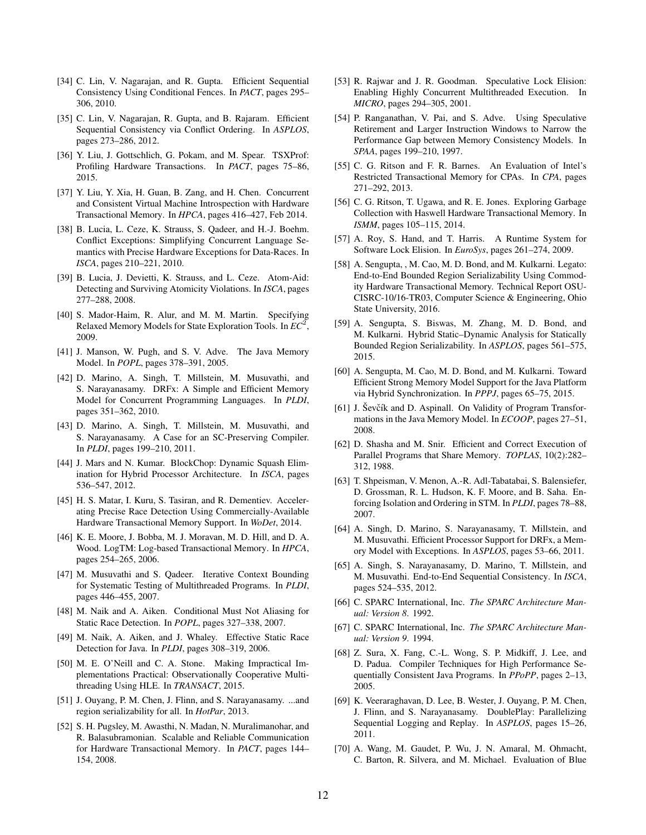- [34] C. Lin, V. Nagarajan, and R. Gupta. Efficient Sequential Consistency Using Conditional Fences. In *PACT*, pages 295– 306, 2010.
- [35] C. Lin, V. Nagarajan, R. Gupta, and B. Rajaram. Efficient Sequential Consistency via Conflict Ordering. In *ASPLOS*, pages 273–286, 2012.
- [36] Y. Liu, J. Gottschlich, G. Pokam, and M. Spear. TSXProf: Profiling Hardware Transactions. In *PACT*, pages 75–86, 2015.
- [37] Y. Liu, Y. Xia, H. Guan, B. Zang, and H. Chen. Concurrent and Consistent Virtual Machine Introspection with Hardware Transactional Memory. In *HPCA*, pages 416–427, Feb 2014.
- [38] B. Lucia, L. Ceze, K. Strauss, S. Qadeer, and H.-J. Boehm. Conflict Exceptions: Simplifying Concurrent Language Semantics with Precise Hardware Exceptions for Data-Races. In *ISCA*, pages 210–221, 2010.
- [39] B. Lucia, J. Devietti, K. Strauss, and L. Ceze. Atom-Aid: Detecting and Surviving Atomicity Violations. In *ISCA*, pages 277–288, 2008.
- [40] S. Mador-Haim, R. Alur, and M. M. Martin. Specifying Relaxed Memory Models for State Exploration Tools. In *EC*<sup>2</sup> , 2009.
- [41] J. Manson, W. Pugh, and S. V. Adve. The Java Memory Model. In *POPL*, pages 378–391, 2005.
- [42] D. Marino, A. Singh, T. Millstein, M. Musuvathi, and S. Narayanasamy. DRFx: A Simple and Efficient Memory Model for Concurrent Programming Languages. In *PLDI*, pages 351–362, 2010.
- [43] D. Marino, A. Singh, T. Millstein, M. Musuvathi, and S. Narayanasamy. A Case for an SC-Preserving Compiler. In *PLDI*, pages 199–210, 2011.
- [44] J. Mars and N. Kumar. BlockChop: Dynamic Squash Elimination for Hybrid Processor Architecture. In *ISCA*, pages 536–547, 2012.
- [45] H. S. Matar, I. Kuru, S. Tasiran, and R. Dementiev. Accelerating Precise Race Detection Using Commercially-Available Hardware Transactional Memory Support. In *WoDet*, 2014.
- [46] K. E. Moore, J. Bobba, M. J. Moravan, M. D. Hill, and D. A. Wood. LogTM: Log-based Transactional Memory. In *HPCA*, pages 254–265, 2006.
- [47] M. Musuvathi and S. Qadeer. Iterative Context Bounding for Systematic Testing of Multithreaded Programs. In *PLDI*, pages 446–455, 2007.
- [48] M. Naik and A. Aiken. Conditional Must Not Aliasing for Static Race Detection. In *POPL*, pages 327–338, 2007.
- [49] M. Naik, A. Aiken, and J. Whaley. Effective Static Race Detection for Java. In *PLDI*, pages 308–319, 2006.
- [50] M. E. O'Neill and C. A. Stone. Making Impractical Implementations Practical: Observationally Cooperative Multithreading Using HLE. In *TRANSACT*, 2015.
- [51] J. Ouyang, P. M. Chen, J. Flinn, and S. Narayanasamy. ...and region serializability for all. In *HotPar*, 2013.
- [52] S. H. Pugsley, M. Awasthi, N. Madan, N. Muralimanohar, and R. Balasubramonian. Scalable and Reliable Communication for Hardware Transactional Memory. In *PACT*, pages 144– 154, 2008.
- [53] R. Rajwar and J. R. Goodman. Speculative Lock Elision: Enabling Highly Concurrent Multithreaded Execution. In *MICRO*, pages 294–305, 2001.
- [54] P. Ranganathan, V. Pai, and S. Adve. Using Speculative Retirement and Larger Instruction Windows to Narrow the Performance Gap between Memory Consistency Models. In *SPAA*, pages 199–210, 1997.
- [55] C. G. Ritson and F. R. Barnes. An Evaluation of Intel's Restricted Transactional Memory for CPAs. In *CPA*, pages 271–292, 2013.
- [56] C. G. Ritson, T. Ugawa, and R. E. Jones. Exploring Garbage Collection with Haswell Hardware Transactional Memory. In *ISMM*, pages 105–115, 2014.
- [57] A. Roy, S. Hand, and T. Harris. A Runtime System for Software Lock Elision. In *EuroSys*, pages 261–274, 2009.
- [58] A. Sengupta, , M. Cao, M. D. Bond, and M. Kulkarni. Legato: End-to-End Bounded Region Serializability Using Commodity Hardware Transactional Memory. Technical Report OSU-CISRC-10/16-TR03, Computer Science & Engineering, Ohio State University, 2016.
- [59] A. Sengupta, S. Biswas, M. Zhang, M. D. Bond, and M. Kulkarni. Hybrid Static–Dynamic Analysis for Statically Bounded Region Serializability. In *ASPLOS*, pages 561–575, 2015.
- [60] A. Sengupta, M. Cao, M. D. Bond, and M. Kulkarni. Toward Efficient Strong Memory Model Support for the Java Platform via Hybrid Synchronization. In *PPPJ*, pages 65–75, 2015.
- [61] J. Sevčík and D. Aspinall. On Validity of Program Transformations in the Java Memory Model. In *ECOOP*, pages 27–51, 2008.
- [62] D. Shasha and M. Snir. Efficient and Correct Execution of Parallel Programs that Share Memory. *TOPLAS*, 10(2):282– 312, 1988.
- [63] T. Shpeisman, V. Menon, A.-R. Adl-Tabatabai, S. Balensiefer, D. Grossman, R. L. Hudson, K. F. Moore, and B. Saha. Enforcing Isolation and Ordering in STM. In *PLDI*, pages 78–88, 2007.
- [64] A. Singh, D. Marino, S. Narayanasamy, T. Millstein, and M. Musuvathi. Efficient Processor Support for DRFx, a Memory Model with Exceptions. In *ASPLOS*, pages 53–66, 2011.
- [65] A. Singh, S. Narayanasamy, D. Marino, T. Millstein, and M. Musuvathi. End-to-End Sequential Consistency. In *ISCA*, pages 524–535, 2012.
- [66] C. SPARC International, Inc. *The SPARC Architecture Manual: Version 8*. 1992.
- [67] C. SPARC International, Inc. *The SPARC Architecture Manual: Version 9*. 1994.
- [68] Z. Sura, X. Fang, C.-L. Wong, S. P. Midkiff, J. Lee, and D. Padua. Compiler Techniques for High Performance Sequentially Consistent Java Programs. In *PPoPP*, pages 2–13, 2005.
- [69] K. Veeraraghavan, D. Lee, B. Wester, J. Ouyang, P. M. Chen, J. Flinn, and S. Narayanasamy. DoublePlay: Parallelizing Sequential Logging and Replay. In *ASPLOS*, pages 15–26, 2011.
- [70] A. Wang, M. Gaudet, P. Wu, J. N. Amaral, M. Ohmacht, C. Barton, R. Silvera, and M. Michael. Evaluation of Blue